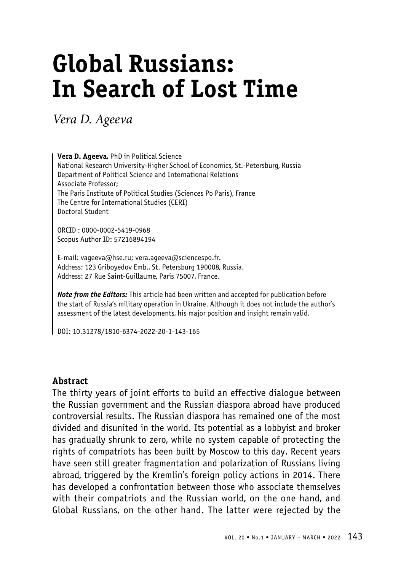# **Global Russians: In Search of Lost Time**

*Vera D. Ageeva*

**Vera D. Ageeva,** PhD in Political Science National Research University-Higher School of Economics, St.-Petersburg, Russia Department of Political Science and International Relations Associate Professor; The Paris Institute of Political Studies (Sciences Po Paris), France The Centre for International Studies (CERI) Doctoral Student

ORCID : 0000-0002-5419-0968 Scopus Author ID: 57216894194

E-mail: vageeva@hse.ru; vera.ageeva@sciencespo.fr. Address: 123 Griboyedov Emb., St. Petersburg 190008, Russia. Address: 27 Rue Saint-Guillaume, Paris 75007, France.

*Note from the Editors:* This article had been written and accepted for publication before the start of Russia's military operation in Ukraine. Although it does not include the author's assessment of the latest developments, his major position and insight remain valid.

DOI: 10.31278/1810-6374-2022-20-1-143-165

#### **Abstract**

The thirty years of joint efforts to build an effective dialogue between the Russian government and the Russian diaspora abroad have produced controversial results. The Russian diaspora has remained one of the most divided and disunited in the world. Its potential as a lobbyist and broker has gradually shrunk to zero, while no system capable of protecting the rights of compatriots has been built by Moscow to this day. Recent years have seen still greater fragmentation and polarization of Russians living abroad, triggered by the Kremlin's foreign policy actions in 2014. There has developed a confrontation between those who associate themselves with their compatriots and the Russian world, on the one hand, and Global Russians, on the other hand. The latter were rejected by the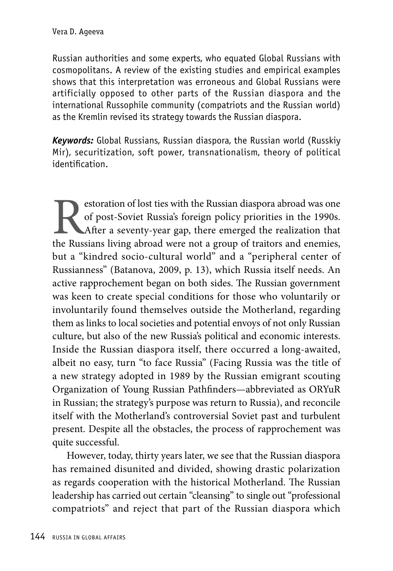Russian authorities and some experts, who equated Global Russians with cosmopolitans. A review of the existing studies and empirical examples shows that this interpretation was erroneous and Global Russians were artificially opposed to other parts of the Russian diaspora and the international Russophile community (compatriots and the Russian world) as the Kremlin revised its strategy towards the Russian diaspora.

*Keywords:* Global Russians, Russian diaspora, the Russian world (Russkiy Mir), securitization, soft power, transnationalism, theory of political identification.

Experience of lost ties with the Russian diaspora abroad was one of post-Soviet Russia's foreign policy priorities in the 1990s.<br>After a seventy-year gap, there emerged the realization that the Russians living abroad were of post-Soviet Russia's foreign policy priorities in the 1990s. After a seventy-year gap, there emerged the realization that the Russians living abroad were not a group of traitors and enemies, but a "kindred socio-cultural world" and a "peripheral center of Russianness" (Batanova, 2009, p. 13), which Russia itself needs. An active rapprochement began on both sides. The Russian government was keen to create special conditions for those who voluntarily or involuntarily found themselves outside the Motherland, regarding them as links to local societies and potential envoys of not only Russian culture, but also of the new Russia's political and economic interests. Inside the Russian diaspora itself, there occurred a long-awaited, albeit no easy, turn "to face Russia" (Facing Russia was the title of a new strategy adopted in 1989 by the Russian emigrant scouting Organization of Young Russian Pathfinders—abbreviated as ORYuR in Russian; the strategy's purpose was return to Russia), and reconcile itself with the Motherland's controversial Soviet past and turbulent present. Despite all the obstacles, the process of rapprochement was quite successful.

However, today, thirty years later, we see that the Russian diaspora has remained disunited and divided, showing drastic polarization as regards cooperation with the historical Motherland. The Russian leadership has carried out certain "cleansing" to single out "professional compatriots" and reject that part of the Russian diaspora which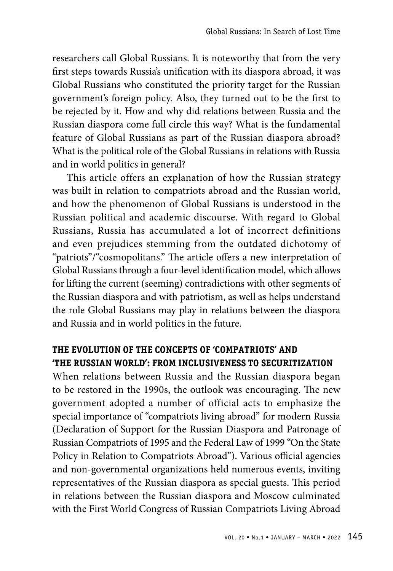researchers call Global Russians. It is noteworthy that from the very first steps towards Russia's unification with its diaspora abroad, it was Global Russians who constituted the priority target for the Russian government's foreign policy. Also, they turned out to be the first to be rejected by it. How and why did relations between Russia and the Russian diaspora come full circle this way? What is the fundamental feature of Global Russians as part of the Russian diaspora abroad? What is the political role of the Global Russians in relations with Russia and in world politics in general?

This article offers an explanation of how the Russian strategy was built in relation to compatriots abroad and the Russian world, and how the phenomenon of Global Russians is understood in the Russian political and academic discourse. With regard to Global Russians, Russia has accumulated a lot of incorrect definitions and even prejudices stemming from the outdated dichotomy of "patriots"/"cosmopolitans." The article offers a new interpretation of Global Russians through a four-level identification model, which allows for lifting the current (seeming) contradictions with other segments of the Russian diaspora and with patriotism, as well as helps understand the role Global Russians may play in relations between the diaspora and Russia and in world politics in the future.

### **THE EVOLUTION OF THE CONCEPTS OF 'COMPATRIOTS' AND 'THE RUSSIAN WORLD': FROM INCLUSIVENESS TO SECURITIZATION**

When relations between Russia and the Russian diaspora began to be restored in the 1990s, the outlook was encouraging. The new government adopted a number of official acts to emphasize the special importance of "compatriots living abroad" for modern Russia (Declaration of Support for the Russian Diaspora and Patronage of Russian Compatriots of 1995 and the Federal Law of 1999 "On the State Policy in Relation to Compatriots Abroad"). Various official agencies and non-governmental organizations held numerous events, inviting representatives of the Russian diaspora as special guests. This period in relations between the Russian diaspora and Moscow culminated with the First World Congress of Russian Compatriots Living Abroad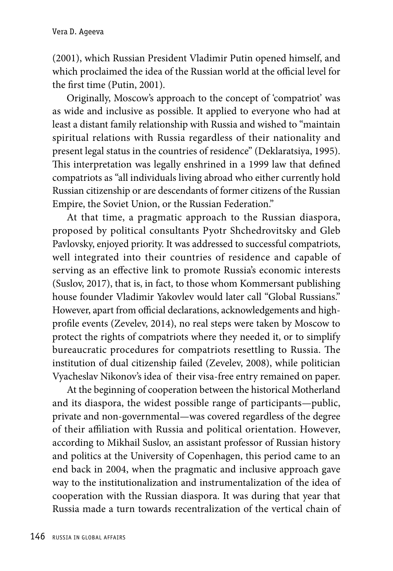(2001), which Russian President Vladimir Putin opened himself, and which proclaimed the idea of the Russian world at the official level for the first time (Putin, 2001).

Originally, Moscow's approach to the concept of 'compatriot' was as wide and inclusive as possible. It applied to everyone who had at least a distant family relationship with Russia and wished to "maintain spiritual relations with Russia regardless of their nationality and present legal status in the countries of residence" (Deklaratsiya, 1995). This interpretation was legally enshrined in a 1999 law that defined compatriots as "all individuals living abroad who either currently hold Russian citizenship or are descendants of former citizens of the Russian Empire, the Soviet Union, or the Russian Federation."

At that time, a pragmatic approach to the Russian diaspora, proposed by political consultants Pyotr Shchedrovitsky and Gleb Pavlovsky, enjoyed priority. It was addressed to successful compatriots, well integrated into their countries of residence and capable of serving as an effective link to promote Russia's economic interests (Suslov, 2017), that is, in fact, to those whom Kommersant publishing house founder Vladimir Yakovlev would later call "Global Russians." However, apart from official declarations, acknowledgements and highprofile events (Zevelev, 2014), no real steps were taken by Moscow to protect the rights of compatriots where they needed it, or to simplify bureaucratic procedures for compatriots resettling to Russia. The institution of dual citizenship failed (Zevelev, 2008), while politician Vyacheslav Nikonov's idea of their visa-free entry remained on paper.

At the beginning of cooperation between the historical Motherland and its diaspora, the widest possible range of participants—public, private and non-governmental—was covered regardless of the degree of their affiliation with Russia and political orientation. However, according to Mikhail Suslov, an assistant professor of Russian history and politics at the University of Copenhagen, this period came to an end back in 2004, when the pragmatic and inclusive approach gave way to the institutionalization and instrumentalization of the idea of cooperation with the Russian diaspora. It was during that year that Russia made a turn towards recentralization of the vertical chain of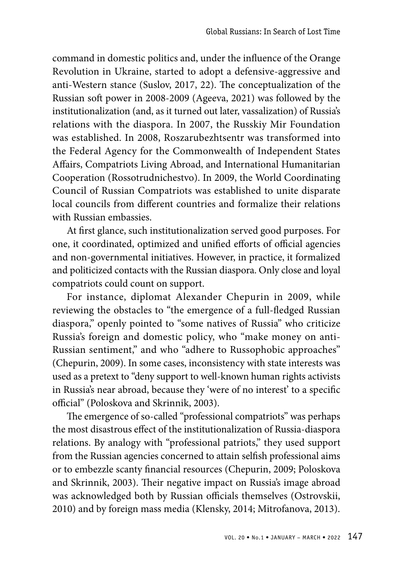command in domestic politics and, under the influence of the Orange Revolution in Ukraine, started to adopt a defensive-aggressive and anti-Western stance (Suslov, 2017, 22). The conceptualization of the Russian soft power in 2008-2009 (Ageeva, 2021) was followed by the institutionalization (and, as it turned out later, vassalization) of Russia's relations with the diaspora. In 2007, the Russkiy Mir Foundation was established. In 2008, Roszarubezhtsentr was transformed into the Federal Agency for the Commonwealth of Independent States Affairs, Compatriots Living Abroad, and International Humanitarian Cooperation (Rossotrudnichestvo). In 2009, the World Coordinating Council of Russian Compatriots was established to unite disparate local councils from different countries and formalize their relations with Russian embassies.

At first glance, such institutionalization served good purposes. For one, it coordinated, optimized and unified efforts of official agencies and non-governmental initiatives. However, in practice, it formalized and politicized contacts with the Russian diaspora. Only close and loyal compatriots could count on support.

For instance, diplomat Alexander Chepurin in 2009, while reviewing the obstacles to "the emergence of a full-fledged Russian diaspora," openly pointed to "some natives of Russia" who criticize Russia's foreign and domestic policy, who "make money on anti-Russian sentiment," and who "adhere to Russophobic approaches" (Chepurin, 2009). In some cases, inconsistency with state interests was used as a pretext to "deny support to well-known human rights activists in Russia's near abroad, because they 'were of no interest' to a specific official" (Poloskova and Skrinnik, 2003).

The emergence of so-called "professional compatriots" was perhaps the most disastrous effect of the institutionalization of Russia-diaspora relations. By analogy with "professional patriots," they used support from the Russian agencies concerned to attain selfish professional aims or to embezzle scanty financial resources (Chepurin, 2009; Poloskova and Skrinnik, 2003). Their negative impact on Russia's image abroad was acknowledged both by Russian officials themselves (Ostrovskii, 2010) and by foreign mass media (Klensky, 2014; Mitrofanova, 2013).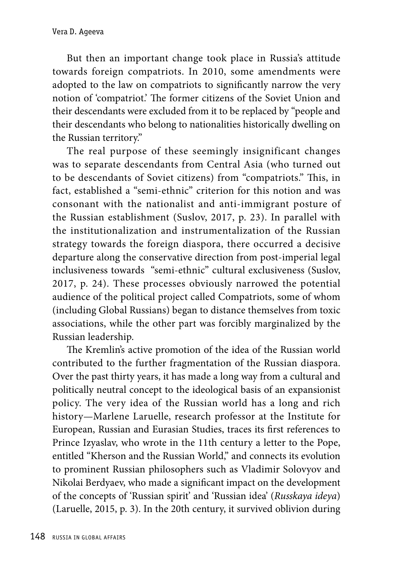But then an important change took place in Russia's attitude towards foreign compatriots. In 2010, some amendments were adopted to the law on compatriots to significantly narrow the very notion of 'compatriot.' The former citizens of the Soviet Union and their descendants were excluded from it to be replaced by "people and their descendants who belong to nationalities historically dwelling on the Russian territory."

The real purpose of these seemingly insignificant changes was to separate descendants from Central Asia (who turned out to be descendants of Soviet citizens) from "compatriots." This, in fact, established a "semi-ethnic" criterion for this notion and was consonant with the nationalist and anti-immigrant posture of the Russian establishment (Suslov, 2017, p. 23). In parallel with the institutionalization and instrumentalization of the Russian strategy towards the foreign diaspora, there occurred a decisive departure along the conservative direction from post-imperial legal inclusiveness towards "semi-ethnic" cultural exclusiveness (Suslov, 2017, p. 24). These processes obviously narrowed the potential audience of the political project called Compatriots, some of whom (including Global Russians) began to distance themselves from toxic associations, while the other part was forcibly marginalized by the Russian leadership.

The Kremlin's active promotion of the idea of the Russian world contributed to the further fragmentation of the Russian diaspora. Over the past thirty years, it has made a long way from a cultural and politically neutral concept to the ideological basis of an expansionist policy. The very idea of the Russian world has a long and rich history—Marlene Laruelle, research professor at the Institute for European, Russian and Eurasian Studies, traces its first references to Prince Izyaslav, who wrote in the 11th century a letter to the Pope, entitled "Kherson and the Russian World," and connects its evolution to prominent Russian philosophers such as Vladimir Solovyov and Nikolai Berdyaev, who made a significant impact on the development of the concepts of 'Russian spirit' and 'Russian idea' (*Russkaya ideya*) (Laruelle, 2015, p. 3). In the 20th century, it survived oblivion during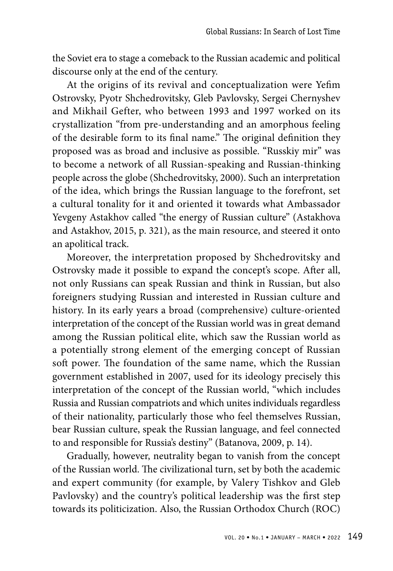the Soviet era to stage a comeback to the Russian academic and political discourse only at the end of the century.

At the origins of its revival and conceptualization were Yefim Ostrovsky, Pyotr Shchedrovitsky, Gleb Pavlovsky, Sergei Chernyshev and Mikhail Gefter, who between 1993 and 1997 worked on its crystallization "from pre-understanding and an amorphous feeling of the desirable form to its final name." The original definition they proposed was as broad and inclusive as possible. "Russkiy mir" was to become a network of all Russian-speaking and Russian-thinking people across the globe (Shchedrovitsky, 2000). Such an interpretation of the idea, which brings the Russian language to the forefront, set a cultural tonality for it and oriented it towards what Ambassador Yevgeny Astakhov called "the energy of Russian culture" (Astakhova and Astakhov, 2015, p. 321), as the main resource, and steered it onto an apolitical track.

Moreover, the interpretation proposed by Shchedrovitsky and Ostrovsky made it possible to expand the concept's scope. After all, not only Russians can speak Russian and think in Russian, but also foreigners studying Russian and interested in Russian culture and history. In its early years a broad (comprehensive) culture-oriented interpretation of the concept of the Russian world was in great demand among the Russian political elite, which saw the Russian world as a potentially strong element of the emerging concept of Russian soft power. The foundation of the same name, which the Russian government established in 2007, used for its ideology precisely this interpretation of the concept of the Russian world, "which includes Russia and Russian compatriots and which unites individuals regardless of their nationality, particularly those who feel themselves Russian, bear Russian culture, speak the Russian language, and feel connected to and responsible for Russia's destiny" (Batanova, 2009, p. 14).

Gradually, however, neutrality began to vanish from the concept of the Russian world. The civilizational turn, set by both the academic and expert community (for example, by Valery Tishkov and Gleb Pavlovsky) and the country's political leadership was the first step towards its politicization. Also, the Russian Orthodox Church (ROC)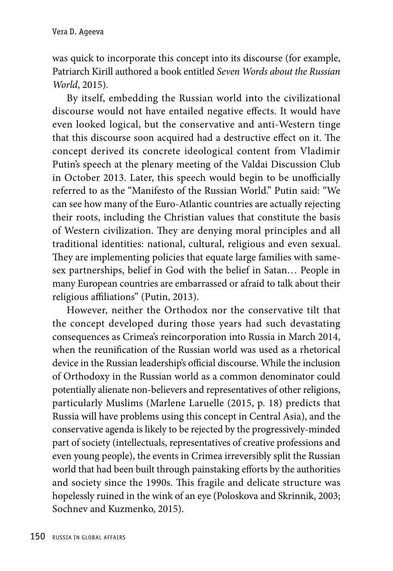was quick to incorporate this concept into its discourse (for example, Patriarch Kirill authored a book entitled *Seven Words about the Russian World*, 2015).

By itself, embedding the Russian world into the civilizational discourse would not have entailed negative effects. It would have even looked logical, but the conservative and anti-Western tinge that this discourse soon acquired had a destructive effect on it. The concept derived its concrete ideological content from Vladimir Putin's speech at the plenary meeting of the Valdai Discussion Club in October 2013. Later, this speech would begin to be unofficially referred to as the "Manifesto of the Russian World." Putin said: "We can see how many of the Euro-Atlantic countries are actually rejecting their roots, including the Christian values that constitute the basis of Western civilization. They are denying moral principles and all traditional identities: national, cultural, religious and even sexual. They are implementing policies that equate large families with samesex partnerships, belief in God with the belief in Satan… People in many European countries are embarrassed or afraid to talk about their religious affiliations" (Putin, 2013).

However, neither the Orthodox nor the conservative tilt that the concept developed during those years had such devastating consequences as Crimea's reincorporation into Russia in March 2014, when the reunification of the Russian world was used as a rhetorical device in the Russian leadership's official discourse. While the inclusion of Orthodoxy in the Russian world as a common denominator could potentially alienate non-believers and representatives of other religions, particularly Muslims (Marlene Laruelle (2015, p. 18) predicts that Russia will have problems using this concept in Central Asia), and the conservative agenda is likely to be rejected by the progressively-minded part of society (intellectuals, representatives of creative professions and even young people), the events in Crimea irreversibly split the Russian world that had been built through painstaking efforts by the authorities and society since the 1990s. This fragile and delicate structure was hopelessly ruined in the wink of an eye (Poloskova and Skrinnik, 2003; Sochnev and Kuzmenko, 2015).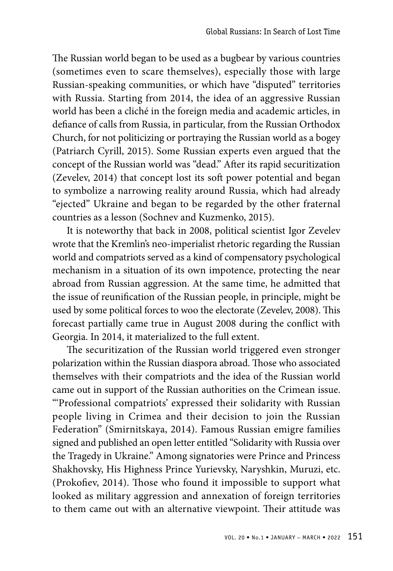The Russian world began to be used as a bugbear by various countries (sometimes even to scare themselves), especially those with large Russian-speaking communities, or which have "disputed" territories with Russia. Starting from 2014, the idea of an aggressive Russian world has been a cliché in the foreign media and academic articles, in defiance of calls from Russia, in particular, from the Russian Orthodox Church, for not politicizing or portraying the Russian world as a bogey (Patriarch Cyrill, 2015). Some Russian experts even argued that the concept of the Russian world was "dead." After its rapid securitization (Zevelev, 2014) that concept lost its soft power potential and began to symbolize a narrowing reality around Russia, which had already "ejected" Ukraine and began to be regarded by the other fraternal countries as a lesson (Sochnev and Kuzmenko, 2015).

It is noteworthy that back in 2008, political scientist Igor Zevelev wrote that the Kremlin's neo-imperialist rhetoric regarding the Russian world and compatriots served as a kind of compensatory psychological mechanism in a situation of its own impotence, protecting the near abroad from Russian aggression. At the same time, he admitted that the issue of reunification of the Russian people, in principle, might be used by some political forces to woo the electorate (Zevelev, 2008). This forecast partially came true in August 2008 during the conflict with Georgia. In 2014, it materialized to the full extent.

The securitization of the Russian world triggered even stronger polarization within the Russian diaspora abroad. Those who associated themselves with their compatriots and the idea of the Russian world came out in support of the Russian authorities on the Crimean issue. "'Professional compatriots' expressed their solidarity with Russian people living in Crimea and their decision to join the Russian Federation" (Smirnitskaya, 2014). Famous Russian emigre families signed and published an open letter entitled "Solidarity with Russia over the Tragedy in Ukraine." Among signatories were Prince and Princess Shakhovsky, His Highness Prince Yurievsky, Naryshkin, Muruzi, etc. (Prokofiev, 2014). Those who found it impossible to support what looked as military aggression and annexation of foreign territories to them came out with an alternative viewpoint. Their attitude was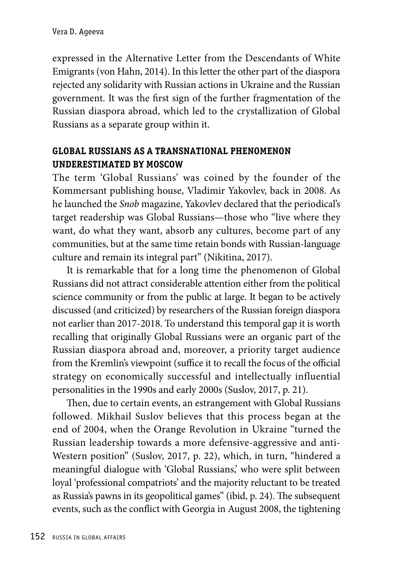expressed in the Alternative Letter from the Descendants of White Emigrants (von Hahn, 2014). In this letter the other part of the diaspora rejected any solidarity with Russian actions in Ukraine and the Russian government. It was the first sign of the further fragmentation of the Russian diaspora abroad, which led to the crystallization of Global Russians as a separate group within it.

## **GLOBAL RUSSIANS AS A TRANSNATIONAL PHENOMENON UNDERESTIMATED BY MOSCOW**

The term 'Global Russians' was coined by the founder of the Kommersant publishing house, Vladimir Yakovlev, back in 2008. As he launched the *Snob* magazine, Yakovlev declared that the periodical's target readership was Global Russians—those who "live where they want, do what they want, absorb any cultures, become part of any communities, but at the same time retain bonds with Russian-language culture and remain its integral part" (Nikitina, 2017).

It is remarkable that for a long time the phenomenon of Global Russians did not attract considerable attention either from the political science community or from the public at large. It began to be actively discussed (and criticized) by researchers of the Russian foreign diaspora not earlier than 2017-2018. To understand this temporal gap it is worth recalling that originally Global Russians were an organic part of the Russian diaspora abroad and, moreover, a priority target audience from the Kremlin's viewpoint (suffice it to recall the focus of the official strategy on economically successful and intellectually influential personalities in the 1990s and early 2000s (Suslov, 2017, p. 21).

Then, due to certain events, an estrangement with Global Russians followed. Mikhail Suslov believes that this process began at the end of 2004, when the Orange Revolution in Ukraine "turned the Russian leadership towards a more defensive-aggressive and anti-Western position" (Suslov, 2017, p. 22), which, in turn, "hindered a meaningful dialogue with 'Global Russians,' who were split between loyal 'professional compatriots' and the majority reluctant to be treated as Russia's pawns in its geopolitical games" (ibid, p. 24). The subsequent events, such as the conflict with Georgia in August 2008, the tightening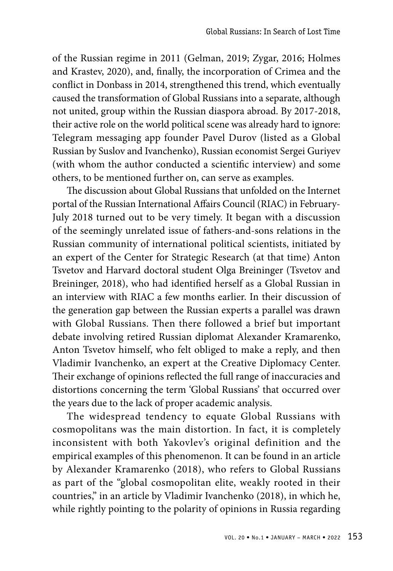of the Russian regime in 2011 (Gelman, 2019; Zygar, 2016; Holmes and Krastev, 2020), and, finally, the incorporation of Crimea and the conflict in Donbass in 2014, strengthened this trend, which eventually caused the transformation of Global Russians into a separate, although not united, group within the Russian diaspora abroad. By 2017-2018, their active role on the world political scene was already hard to ignore: Telegram messaging app founder Pavel Durov (listed as a Global Russian by Suslov and Ivanchenko), Russian economist Sergei Guriyev (with whom the author conducted a scientific interview) and some others, to be mentioned further on, can serve as examples.

The discussion about Global Russians that unfolded on the Internet portal of the Russian International Affairs Council (RIAC) in February-July 2018 turned out to be very timely. It began with a discussion of the seemingly unrelated issue of fathers-and-sons relations in the Russian community of international political scientists, initiated by an expert of the Center for Strategic Research (at that time) Anton Tsvetov and Harvard doctoral student Olga Breininger (Tsvetov and Breininger, 2018), who had identified herself as a Global Russian in an interview with RIAC a few months earlier. In their discussion of the generation gap between the Russian experts a parallel was drawn with Global Russians. Then there followed a brief but important debate involving retired Russian diplomat Alexander Kramarenko, Anton Tsvetov himself, who felt obliged to make a reply, and then Vladimir Ivanchenko, an expert at the Creative Diplomacy Center. Their exchange of opinions reflected the full range of inaccuracies and distortions concerning the term 'Global Russians' that occurred over the years due to the lack of proper academic analysis.

The widespread tendency to equate Global Russians with cosmopolitans was the main distortion. In fact, it is completely inconsistent with both Yakovlev's original definition and the empirical examples of this phenomenon*.* It can be found in an article by Alexander Kramarenko (2018), who refers to Global Russians as part of the "global cosmopolitan elite, weakly rooted in their countries," in an article by Vladimir Ivanchenko (2018), in which he, while rightly pointing to the polarity of opinions in Russia regarding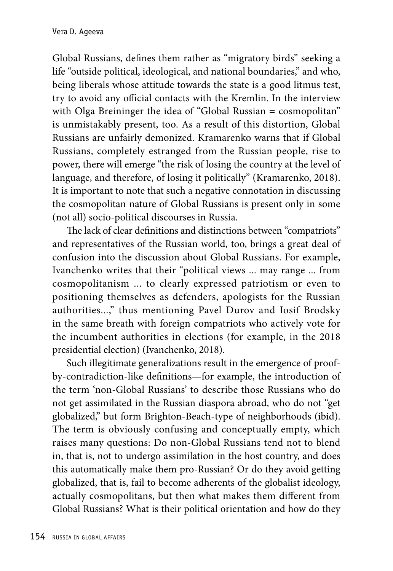Global Russians, defines them rather as "migratory birds" seeking a life "outside political, ideological, and national boundaries," and who, being liberals whose attitude towards the state is a good litmus test, try to avoid any official contacts with the Kremlin. In the interview with Olga Breininger the idea of "Global Russian = cosmopolitan" is unmistakably present, too. As a result of this distortion, Global Russians are unfairly demonized. Kramarenko warns that if Global Russians, completely estranged from the Russian people, rise to power, there will emerge "the risk of losing the country at the level of language, and therefore, of losing it politically" (Kramarenko, 2018). It is important to note that such a negative connotation in discussing the cosmopolitan nature of Global Russians is present only in some (not all) socio-political discourses in Russia.

The lack of clear definitions and distinctions between "compatriots" and representatives of the Russian world, too, brings a great deal of confusion into the discussion about Global Russians. For example, Ivanchenko writes that their "political views ... may range ... from cosmopolitanism ... to clearly expressed patriotism or even to positioning themselves as defenders, apologists for the Russian authorities...," thus mentioning Pavel Durov and Iosif Brodsky in the same breath with foreign compatriots who actively vote for the incumbent authorities in elections (for example, in the 2018 presidential election) (Ivanchenko, 2018).

Such illegitimate generalizations result in the emergence of proofby-contradiction-like definitions—for example, the introduction of the term 'non-Global Russians' to describe those Russians who do not get assimilated in the Russian diaspora abroad, who do not "get globalized," but form Brighton-Beach-type of neighborhoods (ibid). The term is obviously confusing and conceptually empty, which raises many questions: Do non-Global Russians tend not to blend in, that is, not to undergo assimilation in the host country, and does this automatically make them pro-Russian? Or do they avoid getting globalized, that is, fail to become adherents of the globalist ideology, actually cosmopolitans, but then what makes them different from Global Russians? What is their political orientation and how do they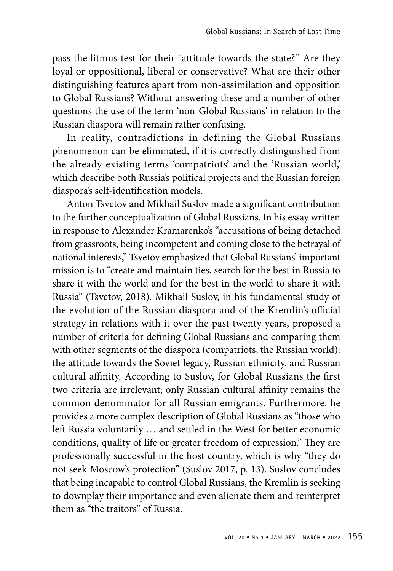pass the litmus test for their "attitude towards the state?" Are they loyal or oppositional, liberal or conservative? What are their other distinguishing features apart from non-assimilation and opposition to Global Russians? Without answering these and a number of other questions the use of the term 'non-Global Russians' in relation to the Russian diaspora will remain rather confusing.

In reality, contradictions in defining the Global Russians phenomenon can be eliminated, if it is correctly distinguished from the already existing terms 'compatriots' and the 'Russian world,' which describe both Russia's political projects and the Russian foreign diaspora's self-identification models.

Anton Tsvetov and Mikhail Suslov made a significant contribution to the further conceptualization of Global Russians. In his essay written in response to Alexander Kramarenko's "accusations of being detached from grassroots, being incompetent and coming close to the betrayal of national interests," Tsvetov emphasized that Global Russians' important mission is to "create and maintain ties, search for the best in Russia to share it with the world and for the best in the world to share it with Russia" (Tsvetov, 2018). Mikhail Suslov, in his fundamental study of the evolution of the Russian diaspora and of the Kremlin's official strategy in relations with it over the past twenty years, proposed a number of criteria for defining Global Russians and comparing them with other segments of the diaspora (compatriots, the Russian world): the attitude towards the Soviet legacy, Russian ethnicity, and Russian cultural affinity. According to Suslov, for Global Russians the first two criteria are irrelevant; only Russian cultural affinity remains the common denominator for all Russian emigrants. Furthermore, he provides a more complex description of Global Russians as "those who left Russia voluntarily … and settled in the West for better economic conditions, quality of life or greater freedom of expression." They are professionally successful in the host country, which is why "they do not seek Moscow's protection" (Suslov 2017, p. 13). Suslov concludes that being incapable to control Global Russians, the Kremlin is seeking to downplay their importance and even alienate them and reinterpret them as "the traitors" of Russia.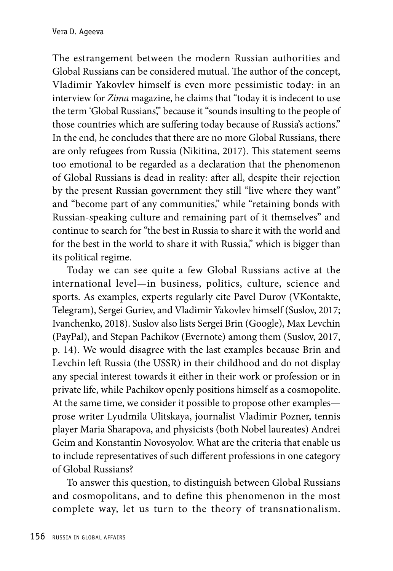The estrangement between the modern Russian authorities and Global Russians can be considered mutual. The author of the concept, Vladimir Yakovlev himself is even more pessimistic today: in an interview for *Zima* magazine, he claims that "today it is indecent to use the term 'Global Russians'," because it "sounds insulting to the people of those countries which are suffering today because of Russia's actions." In the end, he concludes that there are no more Global Russians, there are only refugees from Russia (Nikitina, 2017). This statement seems too emotional to be regarded as a declaration that the phenomenon of Global Russians is dead in reality: after all, despite their rejection by the present Russian government they still "live where they want" and "become part of any communities," while "retaining bonds with Russian-speaking culture and remaining part of it themselves" and continue to search for "the best in Russia to share it with the world and for the best in the world to share it with Russia," which is bigger than its political regime.

Today we can see quite a few Global Russians active at the international level—in business, politics, culture, science and sports. As examples, experts regularly cite Pavel Durov (VKontakte, Telegram), Sergei Guriev, and Vladimir Yakovlev himself (Suslov, 2017; Ivanchenko, 2018). Suslov also lists Sergei Brin (Google), Max Levchin (PayPal), and Stepan Pachikov (Evernote) among them (Suslov, 2017, p. 14). We would disagree with the last examples because Brin and Levchin left Russia (the USSR) in their childhood and do not display any special interest towards it either in their work or profession or in private life, while Pachikov openly positions himself as a cosmopolite. At the same time, we consider it possible to propose other examples prose writer Lyudmila Ulitskaya, journalist Vladimir Pozner, tennis player Maria Sharapova, and physicists (both Nobel laureates) Andrei Geim and Konstantin Novosyolov. What are the criteria that enable us to include representatives of such different professions in one category of Global Russians?

To answer this question, to distinguish between Global Russians and cosmopolitans, and to define this phenomenon in the most complete way, let us turn to the theory of transnationalism.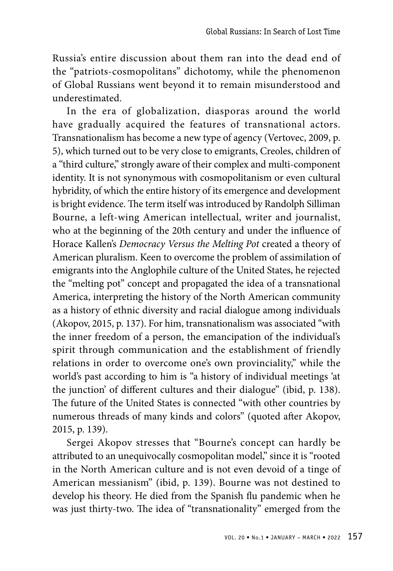Russia's entire discussion about them ran into the dead end of the "patriots-cosmopolitans" dichotomy, while the phenomenon of Global Russians went beyond it to remain misunderstood and underestimated.

In the era of globalization, diasporas around the world have gradually acquired the features of transnational actors. Transnationalism has become a new type of agency (Vertovec, 2009, p. 5), which turned out to be very close to emigrants, Creoles, children of a "third culture," strongly aware of their complex and multi-component identity. It is not synonymous with cosmopolitanism or even cultural hybridity, of which the entire history of its emergence and development is bright evidence. The term itself was introduced by Randolph Silliman Bourne, a left-wing American intellectual, writer and journalist, who at the beginning of the 20th century and under the influence of Horace Kallen's *Democracy Versus the Melting Pot* created a theory of American pluralism. Keen to overcome the problem of assimilation of emigrants into the Anglophile culture of the United States, he rejected the "melting pot" concept and propagated the idea of a transnational America, interpreting the history of the North American community as a history of ethnic diversity and racial dialogue among individuals (Akopov, 2015, p. 137). For him, transnationalism was associated "with the inner freedom of a person, the emancipation of the individual's spirit through communication and the establishment of friendly relations in order to overcome one's own provinciality," while the world's past according to him is "a history of individual meetings 'at the junction' of different cultures and their dialogue" (ibid, p. 138). The future of the United States is connected "with other countries by numerous threads of many kinds and colors" (quoted after Akopov, 2015, p. 139).

Sergei Akopov stresses that "Bourne's concept can hardly be attributed to an unequivocally cosmopolitan model," since it is "rooted in the North American culture and is not even devoid of a tinge of American messianism" (ibid, p. 139). Bourne was not destined to develop his theory. He died from the Spanish flu pandemic when he was just thirty-two. The idea of "transnationality" emerged from the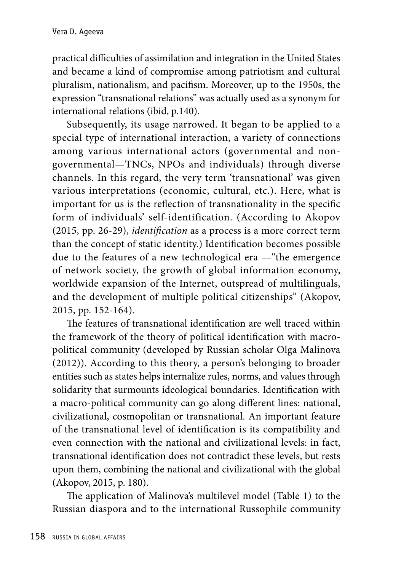practical difficulties of assimilation and integration in the United States and became a kind of compromise among patriotism and cultural pluralism, nationalism, and pacifism. Moreover, up to the 1950s, the expression "transnational relations" was actually used as a synonym for international relations (ibid, p.140).

Subsequently, its usage narrowed. It began to be applied to a special type of international interaction, a variety of connections among various international actors (governmental and nongovernmental—TNCs, NPOs and individuals) through diverse channels. In this regard, the very term 'transnational' was given various interpretations (economic, cultural, etc.). Here, what is important for us is the reflection of transnationality in the specific form of individuals' self-identification. (According to Akopov (2015, pp. 26-29), *identification* as a process is a more correct term than the concept of static identity.) Identification becomes possible due to the features of a new technological era —"the emergence of network society, the growth of global information economy, worldwide expansion of the Internet, outspread of multilinguals, and the development of multiple political citizenships" (Akopov, 2015, pp. 152-164).

The features of transnational identification are well traced within the framework of the theory of political identification with macropolitical community (developed by Russian scholar Olga Malinova (2012)). According to this theory, a person's belonging to broader entities such as states helps internalize rules, norms, and values through solidarity that surmounts ideological boundaries. Identification with a macro-political community can go along different lines: national, civilizational, cosmopolitan or transnational. An important feature of the transnational level of identification is its compatibility and even connection with the national and civilizational levels: in fact, transnational identification does not contradict these levels, but rests upon them, combining the national and civilizational with the global (Akopov, 2015, p. 180).

The application of Malinova's multilevel model (Table 1) to the Russian diaspora and to the international Russophile community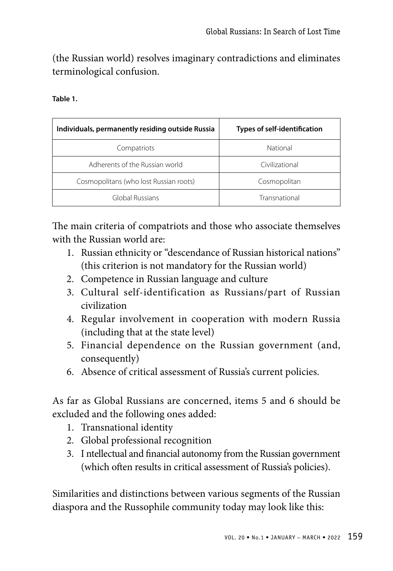(the Russian world) resolves imaginary contradictions and eliminates terminological confusion.

| Individuals, permanently residing outside Russia | <b>Types of self-identification</b> |  |
|--------------------------------------------------|-------------------------------------|--|
| Compatriots                                      | National                            |  |
| Adherents of the Russian world                   | Civilizational                      |  |
| Cosmopolitans (who lost Russian roots)           | Cosmopolitan                        |  |
| Global Russians                                  | Transnational                       |  |

The main criteria of compatriots and those who associate themselves with the Russian world are:

- 1. Russian ethnicity or "descendance of Russian historical nations" (this criterion is not mandatory for the Russian world)
- 2. Competence in Russian language and culture
- 3. Cultural self-identification as Russians/part of Russian civilization
- 4. Regular involvement in cooperation with modern Russia (including that at the state level)
- 5. Financial dependence on the Russian government (and, consequently)
- 6. Absence of critical assessment of Russia's current policies.

As far as Global Russians are concerned, items 5 and 6 should be excluded and the following ones added:

- 1. Transnational identity
- 2. Global professional recognition
- 3. I ntellectual and financial autonomy from the Russian government (which often results in critical assessment of Russia's policies).

Similarities and distinctions between various segments of the Russian diaspora and the Russophile community today may look like this: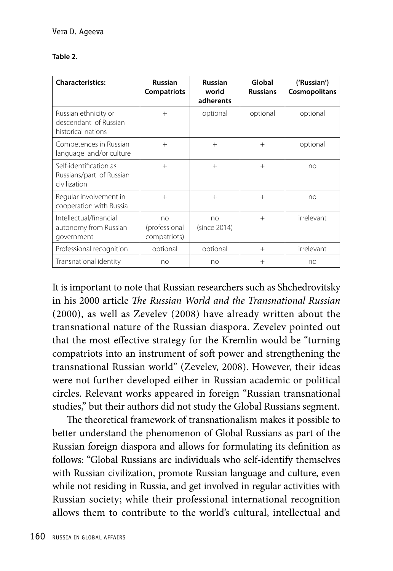| <b>Characteristics:</b>                                             | <b>Russian</b><br><b>Compatriots</b> | <b>Russian</b><br>world<br>adherents | Global<br><b>Russians</b> | ('Russian')<br>Cosmopolitans |
|---------------------------------------------------------------------|--------------------------------------|--------------------------------------|---------------------------|------------------------------|
| Russian ethnicity or<br>descendant of Russian<br>historical nations | $+$                                  | optional                             | optional                  | optional                     |
| Competences in Russian<br>language and/or culture                   | $+$                                  | $+$                                  | $+$                       | optional                     |
| Self-identification as<br>Russians/part of Russian<br>civilization  | $+$                                  | $+$                                  | $+$                       | no                           |
| Regular involvement in<br>cooperation with Russia                   | $+$                                  | $+$                                  | $+$                       | no                           |
| Intellectual/financial<br>autonomy from Russian<br>government       | no<br>(professional<br>compatriots)  | no<br>(since 2014)                   | $+$                       | irrelevant                   |
| Professional recognition                                            | optional                             | optional                             | $+$                       | irrelevant                   |
| Transnational identity                                              | no                                   | no                                   | $+$                       | no                           |

It is important to note that Russian researchers such as Shchedrovitsky in his 2000 article *The Russian World and the Transnational Russian* (2000), as well as Zevelev (2008) have already written about the transnational nature of the Russian diaspora. Zevelev pointed out that the most effective strategy for the Kremlin would be "turning compatriots into an instrument of soft power and strengthening the transnational Russian world" (Zevelev, 2008). However, their ideas were not further developed either in Russian academic or political circles. Relevant works appeared in foreign "Russian transnational studies," but their authors did not study the Global Russians segment.

The theoretical framework of transnationalism makes it possible to better understand the phenomenon of Global Russians as part of the Russian foreign diaspora and allows for formulating its definition as follows: "Global Russians are individuals who self-identify themselves with Russian civilization, promote Russian language and culture, even while not residing in Russia, and get involved in regular activities with Russian society; while their professional international recognition allows them to contribute to the world's cultural, intellectual and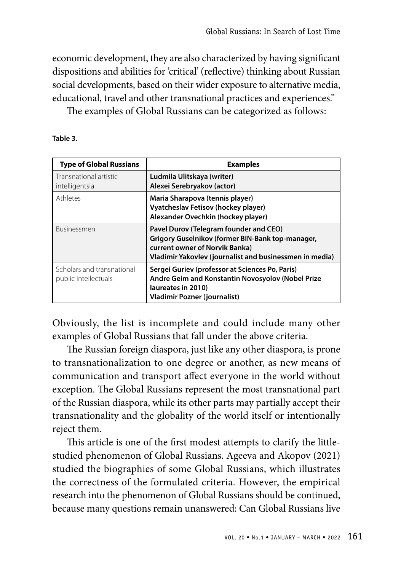economic development, they are also characterized by having significant dispositions and abilities for 'critical' (reflective) thinking about Russian social developments, based on their wider exposure to alternative media, educational, travel and other transnational practices and experiences."

The examples of Global Russians can be categorized as follows:

**Table 3.** 

| <b>Type of Global Russians</b>                     | <b>Examples</b>                                                                                                                                                                         |
|----------------------------------------------------|-----------------------------------------------------------------------------------------------------------------------------------------------------------------------------------------|
| Transnational artistic<br>intelligentsia           | Ludmila Ulitskaya (writer)<br>Alexei Serebryakov (actor)                                                                                                                                |
| Athletes                                           | Maria Sharapova (tennis player)<br>Vyatcheslav Fetisov (hockey player)<br>Alexander Ovechkin (hockey player)                                                                            |
| <b>Businessmen</b>                                 | Pavel Durov (Telegram founder and CEO)<br>Grigory Guselnikov (former BIN-Bank top-manager,<br>current owner of Norvik Banka)<br>Vladimir Yakovlev (journalist and businessmen in media) |
| Scholars and transnational<br>public intellectuals | Sergei Guriev (professor at Sciences Po, Paris)<br>Andre Geim and Konstantin Novosyolov (Nobel Prize<br>laureates in 2010)<br><b>Vladimir Pozner (journalist)</b>                       |

Obviously, the list is incomplete and could include many other examples of Global Russians that fall under the above criteria.

The Russian foreign diaspora, just like any other diaspora, is prone to transnationalization to one degree or another, as new means of communication and transport affect everyone in the world without exception. The Global Russians represent the most transnational part of the Russian diaspora, while its other parts may partially accept their transnationality and the globality of the world itself or intentionally reject them.

This article is one of the first modest attempts to clarify the littlestudied phenomenon of Global Russians. Ageeva and Akopov (2021) studied the biographies of some Global Russians, which illustrates the correctness of the formulated criteria. However, the empirical research into the phenomenon of Global Russians should be continued, because many questions remain unanswered: Can Global Russians live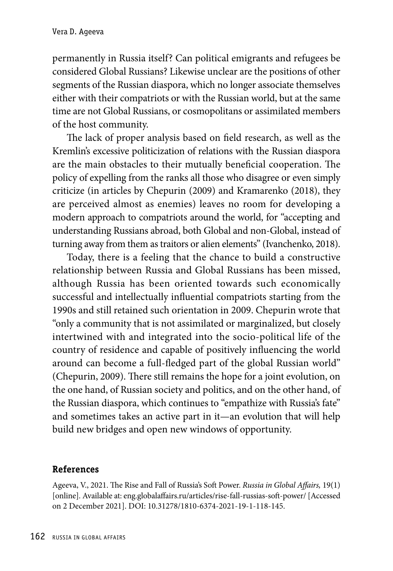permanently in Russia itself? Can political emigrants and refugees be considered Global Russians? Likewise unclear are the positions of other segments of the Russian diaspora, which no longer associate themselves either with their compatriots or with the Russian world, but at the same time are not Global Russians, or cosmopolitans or assimilated members of the host community.

The lack of proper analysis based on field research, as well as the Kremlin's excessive politicization of relations with the Russian diaspora are the main obstacles to their mutually beneficial cooperation. The policy of expelling from the ranks all those who disagree or even simply criticize (in articles by Chepurin (2009) and Kramarenko (2018), they are perceived almost as enemies) leaves no room for developing a modern approach to compatriots around the world, for "accepting and understanding Russians abroad, both Global and non-Global, instead of turning away from them as traitors or alien elements" (Ivanchenko, 2018).

Today, there is a feeling that the chance to build a constructive relationship between Russia and Global Russians has been missed, although Russia has been oriented towards such economically successful and intellectually influential compatriots starting from the 1990s and still retained such orientation in 2009. Chepurin wrote that "only a community that is not assimilated or marginalized, but closely intertwined with and integrated into the socio-political life of the country of residence and capable of positively influencing the world around can become a full-fledged part of the global Russian world" (Chepurin, 2009). There still remains the hope for a joint evolution, on the one hand, of Russian society and politics, and on the other hand, of the Russian diaspora, which continues to "empathize with Russia's fate" and sometimes takes an active part in it—an evolution that will help build new bridges and open new windows of opportunity.

#### **References**

Ageeva, V., 2021. The Rise and Fall of Russia's Soft Power. *Russia in Global Affairs,* 19(1) [online]. Available at: eng.globalaffairs.ru/articles/rise-fall-russias-soft-power/ [Accessed on 2 December 2021]. DOI: 10.31278/1810-6374-2021-19-1-118-145.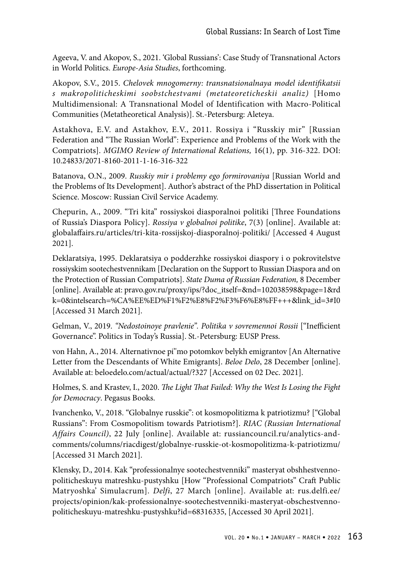Ageeva, V. and Akopov, S., 2021. 'Global Russians': Case Study of Transnational Actors in World Politics. *Europe-Asia Studies*, forthcoming.

Akopov, S.V., 2015. *Chelovek mnogomerny: transnatsionalnaya model identifikatsii s makropoliticheskimi soobstchestvami (metateoreticheskii analiz)* [Homo Multidimensional: A Transnational Model of Identification with Macro-Political Communities (Metatheoretical Analysis)]. St.-Petersburg: Aleteya.

Astakhova, E.V. and Astakhov, E.V., 2011. Rossiya i "Russkiy mir" [Russian Federation and "The Russian World": Experience and Problems of the Work with the Compatriots]. *MGIMO Review of International Relations,* 16(1), pp. 316-322. DOI: 10.24833/2071-8160-2011-1-16-316-322

Batanova, O.N., 2009. *Russkiy mir i problemy ego formirovaniya* [Russian World and the Problems of Its Development]. Author's abstract of the PhD dissertation in Political Science. Moscow: Russian Civil Service Academy.

Chepurin, A., 2009. "Tri kita" rossiyskoi diasporalnoi politiki [Three Foundations of Russia's Diaspora Policy]. *Rossiya v globalnoi politike*, 7(3) [online]. Available at: globalaffairs.ru/articles/tri-kita-rossijskoj-diasporalnoj-politiki/ [Accessed 4 August 2021].

Deklaratsiyа, 1995. Deklaratsiya o podderzhke rossiyskoi diaspory i o pokrovitelstve rossiyskim sootechestvennikam [Declaration on the Support to Russian Diaspora and on the Protection of Russian Compatriots]. *State Duma of Russian Federation,* 8 December [online]. Available at: pravo.gov.ru/proxy/ips/?doc\_itself=&nd=102038598&page=1&rd k=0&intelsearch=%CA%EE%ED%F1%F2%E8%F2%F3%F6%E8%FF+++&link\_id=3#I0 [Accessed 31 March 2021].

Gelman, V., 2019. *"Nedostoinoye pravlenie". Politika v sovremennoi Rossii* ["Inefficient Governance". Politics in Today's Russia]. St.-Petersburg: EUSP Press.

von Hahn, A., 2014. Alternativnoe pi''mo potomkov belykh emigrantov [An Alternative Letter from the Descendants of White Emigrants]. *Beloe Delo*, 28 December [online]. Available at: beloedelo.com/actual/actual/?327 [Accessed on 02 Dec. 2021].

Holmes, S. and Krastev, I., 2020. *The Light That Failed: Why the West Is Losing the Fight for Democracy*. Pegasus Books.

Ivanchenko, V., 2018. "Globalnye russkie": ot kosmopolitizma k patriotizmu? ["Global Russians": From Cosmopolitism towards Patriotism?]. *RIAC (Russian International Affairs Council)*, 22 July [online]. Available at: russiancouncil.ru/analytics-andcomments/columns/riacdigest/globalnye-russkie-ot-kosmopolitizma-k-patriotizmu/ [Accessed 31 March 2021].

Klensky, D., 2014. Kak "professionalnye sootechestvenniki" masteryat obshhestvennopoliticheskuyu matreshku-pustyshku [How "Professional Compatriots" Craft Public Matryoshka' Simulacrum]. *Delfi*, 27 March [online]. Available at: rus.delfi.ee/ projects/opinion/kak-professionalnye-sootechestvenniki-masteryat-obschestvennopoliticheskuyu-matreshku-pustyshku?id=68316335, [Accessed 30 April 2021].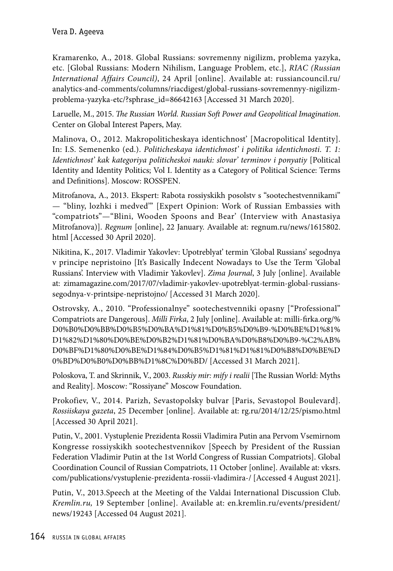Kramarenko, A., 2018. Global Russians: sovremenny nigilizm, problema yazyka, etc. [Global Russians: Modern Nihilism, Language Problem, etc.], *RIAC (Russian International Affairs Council)*, 24 April [online]. Available at: russiancouncil.ru/ analytics-and-comments/columns/riacdigest/global-russians-sovremennyy-nigilizmproblema-yazyka-etc/?sphrase\_id=86642163 [Accessed 31 March 2020].

Laruelle, M., 2015. *The Russian World. Russian Soft Power and Geopolitical Imagination*. Center on Global Interest Papers, May.

Malinova, O., 2012. Makropoliticheskaya identichnost' [Macropolitical Identity]. In: I.S. Semenenko (ed.). *Politicheskaya identichnost' i politika identichnosti. T. 1: Identichnost' kak kategoriya politicheskoi nauki: slovar' terminov i ponyatiy* [Political Identity and Identity Politics; Vol I. Identity as a Category of Political Science: Terms and Definitions]. Moscow: ROSSPEN.

Mitrofanova, A., 2013. Ekspert: Rabota rossiyskikh posolstv s "sootechestvennikami" — "bliny, lozhki i medved'" [Expert Opinion: Work of Russian Embassies with "compatriots"—"Blini, Wooden Spoons and Bear' (Interview with Anastasiya Mitrofanova)]. *Regnum* [online], 22 January. Available at: regnum.ru/news/1615802. html [Accessed 30 April 2020].

Nikitina, K., 2017. Vladimir Yakovlev: Upotreblyat' termin 'Global Russians' segodnya v principe nepristoino [It's Basically Indecent Nowadays to Use the Term 'Global Russians'. Interview with Vladimir Yakovlev]. *Zima Journal*, 3 July [online]. Available at: zimamagazine.com/2017/07/vladimir-yakovlev-upotreblyat-termin-global-russianssegodnya-v-printsipe-nepristojno/ [Accessed 31 March 2020].

Ostrovsky, A., 2010. "Professionalnye" sootechestvenniki opasny ["Professional" Compatriots are Dangerous]. *Milli Firka*, 2 July [online]. Available at: milli-firka.org/% D0%B0%D0%BB%D0%B5%D0%BA%D1%81%D0%B5%D0%B9-%D0%BE%D1%81% D1%82%D1%80%D0%BE%D0%B2%D1%81%D0%BA%D0%B8%D0%B9-%C2%AB% D0%BF%D1%80%D0%BE%D1%84%D0%B5%D1%81%D1%81%D0%B8%D0%BE%D 0%BD%D0%B0%D0%BB%D1%8C%D0%BD/ [Accessed 31 March 2021].

Poloskova, T. and Skrinnik, V., 2003. *Russkiy mir: mify i realii* [The Russian World: Myths and Reality]. Moscow: "Rossiyane" Moscow Foundation.

Prokofiev, V., 2014. Parizh, Sevastopolsky bulvar [Paris, Sevastopol Boulevard]. *Rossiiskaya gazeta*, 25 December [online]. Available at: rg.ru/2014/12/25/pismo.html [Accessed 30 April 2021].

Putin, V., 2001. Vystuplenie Prezidenta Rossii Vladimira Putin ana Pervom Vsemirnom Kongresse rossiyskikh sootechestvennikov [Speech by President of the Russian Federation Vladimir Putin at the 1st World Congress of Russian Compatriots]. Global Coordination Council of Russian Compatriots, 11 October [online]. Available at: vksrs. com/publications/vystuplenie-prezidenta-rossii-vladimira-/ [Accessed 4 August 2021].

Putin, V., 2013.Speech at the Meeting of the Valdai International Discussion Club. *Kremlin.ru,* 19 September [online]. Available at: en.kremlin.ru/events/president/ news/19243 [Accessed 04 August 2021].